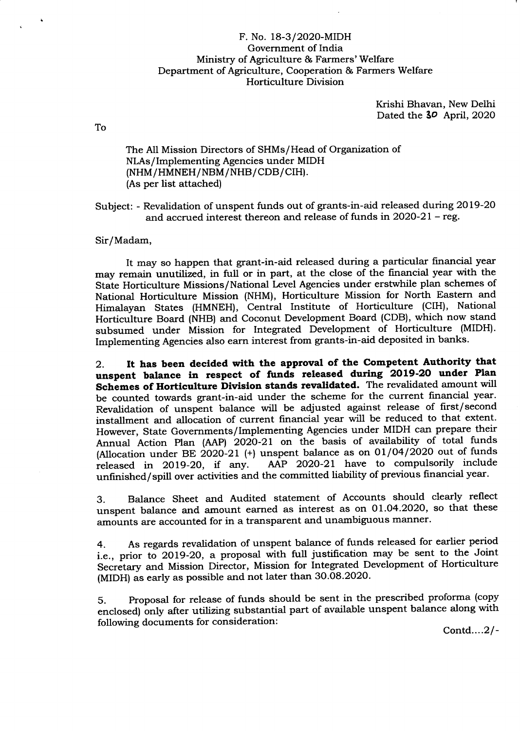## F. No. l8-3/2O2O-MIDH Government of India Ministry of Agriculture & Farmers'Welfare Department of Agriculture, Cooperation & Farmers Welfare Horticulture Division

Krishi Bhavan, New Delhi Dated the 30 April, 2020

To

The All Mission Directors of SHMs/Head of Organization of NlAs/Implementing Agencies under MIDH (NHM/HMNEH/NBM/NHB/CDB/CIH). (As per list attached)

Subject: - Revalidation of unspent funds out of grants-in-aid released during 2OL9-2O and accrued interest thereon and release of funds in 2O2O-21 - reg.

Sir/Madam,

It may so happen that grant-in-aid released during a particular financial year may remain unutilized, in full or in part, at the close of the financial year with the State Horticulture Missions/National Level Agencies under erstwhile plan schemes of National Horticulture Mission (NHM), Horticulture Mission for North Eastern and Himalayan States (HMNEH), Central Institute of Horticulture (CIH), National Horticulture Board (NHB) and Coconut Development Board (CDB), which now stand subsumed under Mission for Integrated Development of Horticulture (MIDH). Implementing Agencies also earn interest from grants-in-aid deposited in banks.

2. It has been decided with the approval of the Competent Authority that unspent balance in respect of funds released during 2019-20 under Plan Schemes of Horticulture Division stands revalidated. The revalidated amount will be counted towards grant-in-aid under the scheme for the current financial year. Revalidation of unspent balance will be adjusted against release of first/second installment and allocation of current financial year will be reduced to that extent. However, State Governments/Implementing Agencies under MIDH can prepare their Annual Action Plan (AAP) 2O2O-21 on the basis of availability of total funds (Allocation under BE 2020-21 (+) unspent balance as on  $01/04/2020$  out of funds released in 2019-20, if any. AAP 2020-21 have to compulsorily include AAP 2020-21 have to compulsorily include unfinished/spitl over activities and the committed liability of previous financial year.

3. Balance Sheet and Audited statement of Accounts should clearly reflect unspent balance and amount earned as interest as on O1.O4.2O20, so that these amounts are accounted for in a transparent and unambiguous manner.

4. As regards revalidation of unspent balance of funds released for earlier period i.e., prior to 2019-20, a proposal with full justification may be sent to the Joint Secretary and Mission Director, Mission for Integrated Development of Horticulture (MIDH) as early as possible and not later than 30.08.2020.

5. Proposal for release of funds should be sent in the prescribed proforma (copy  $\sigma$ . Proposal for release of funds should be sent in the presensed preference (equipment corporation). following documents for consideration :

Contd... $2/-$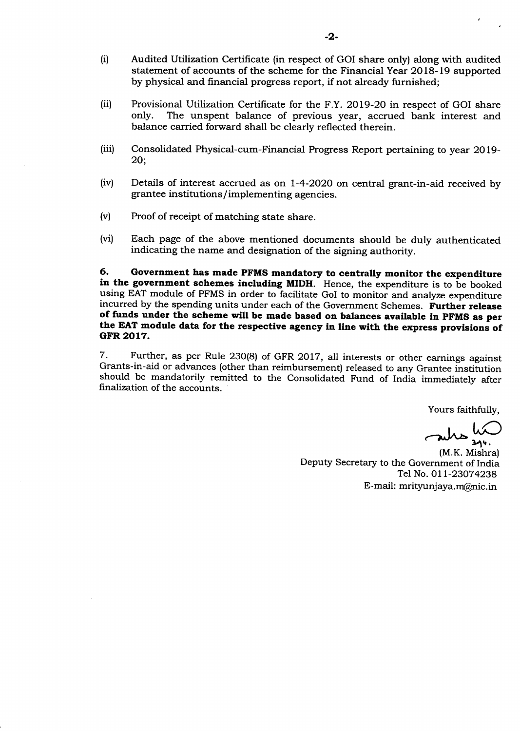- (i) Audited Utilization Certificate (in respect of GOI share only) along with audited statement of accounts of the scheme for the Financial Year 2O18-19 supported by physical and financial progress report, if not already furnished;
- (ii) Provisional Utilization Certificate for the F.Y. 2019-20 in respect of GOI share<br>only. The unspent balance of previous vear, accrued bank interest and The unspent balance of previous year, accrued bank interest and balance carried forward shall be clearly reflected therein.
- (iii) Consolidated Physical-cum-Financial Progress Report pertaining to year 2019-20;
- (iv) Details of interest accrued as on 1-4-2O2O on central grant-in-aid received by grantee institutions/ implementing agencies.
- (v) Proof of receipt of matching state share.
- (vi) Each page of the above mentioned documents should be duly authenticated indicating the name and designation of the signing authority.

6. Government has made PFMS mandatory to centrally monitor the expenditure in the government schemes including MIDH. Hence, the expenditure is to be booked using EAT module of PFMS in order to facilitate GoI to monitor and analyze expenditure<br>incurred by the spending units under each of the Government Schemes. Further release of funds under the scheme will be made based on balances available in PFMS as per the EAT module data for the respective agency in line with the express provisions of GFR 2017.

<sup>7</sup>- Further, as per Rule 230(8) of GFR 2017, all interests or other earnings against Grants-in-aid or advances (other than reimbursement) released to any Grantee institution should be mandatorily remitted to the Consolidated Fund of India immediately after finalization of the accounts.

Yours faithfully,

Jules un

(M.K. Mishra) Deputy Secretary to the Government of India Tel No. 011-23074238 E-mail: mrityunjaya.m@nic.in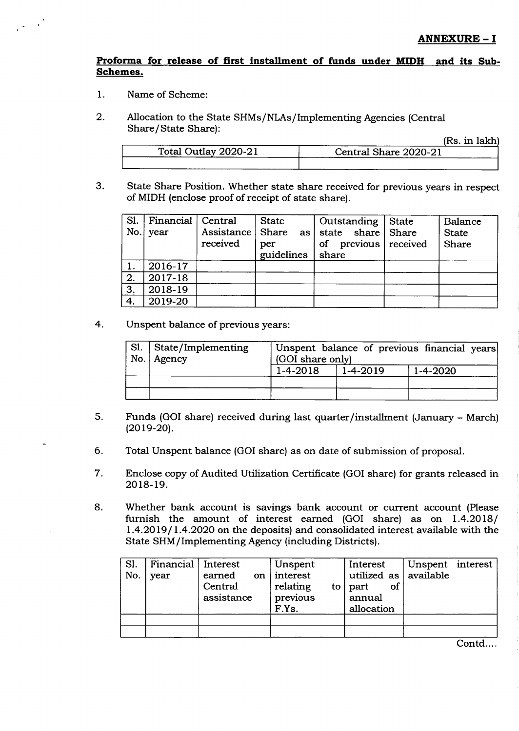## Proforma for release of first installment of funds under MIDH and its Sub-Schemes.

- 1 Name of Scheme:
- 2 Allocation to the State SHMs/NlAs/Implementing Agencies (Central Share/State Share):

|                      | 12 W. 111 TULLII      |
|----------------------|-----------------------|
| Total Outlay 2020-21 | Central Share 2020-21 |
|                      |                       |

State Share Position. Whether state share received for previous years in respect of MIDH (enclose proof of receipt of state share). 3

|              | Sl.   Financial   Central<br>$No.$ year | Assistance   Share<br>received | <b>State</b><br>per<br>guidelines | Outstanding   State<br>as state share Share<br>previous received<br><b>of</b><br>share | Balance<br><b>State</b><br>Share |
|--------------|-----------------------------------------|--------------------------------|-----------------------------------|----------------------------------------------------------------------------------------|----------------------------------|
|              | 2016-17                                 |                                |                                   |                                                                                        |                                  |
| $\mathbf{2}$ | 2017-18                                 |                                |                                   |                                                                                        |                                  |
| 3.           | 2018-19                                 |                                |                                   |                                                                                        |                                  |
| 4.           | 2019-20                                 |                                |                                   |                                                                                        |                                  |

4. Unspent balance of previous years:

| Sl. State/Implementing<br>No. Agency | Unspent balance of previous financial years<br>(GOI share only) |                |                |  |
|--------------------------------------|-----------------------------------------------------------------|----------------|----------------|--|
|                                      | $1 - 4 - 2018$                                                  | $1 - 4 - 2019$ | $1 - 4 - 2020$ |  |
|                                      |                                                                 |                |                |  |
|                                      |                                                                 |                |                |  |

- Funds (GOI share) received during last quarter/installment (January March)  $(2019-20)$ . 5
- Total Unspent balance (GOI share) as on date of submission of proposal. 6
- Enclose copy of Audited Utilization Certificate (GOI share) for grants released in 2018-19. 7
- Whether bank account is savings bank account or current account (Please furnish the amount of interest earned (GOI share) as on 1.4.2018/ l.4.2OL9l 1.4.2O2O on the deposits) and consolidated interest available with the State SHM/Implementing Agency (including Districts). 8

| SI.<br>No. | Financial   Interest<br>vear | earned on interest<br>Central<br>assistance | Unspent<br>relating<br>to<br>previous<br>F.Ys. | Interest<br>utilized as $\vert$ available<br>-of<br>part<br>annual<br>allocation | Unspent interest |  |
|------------|------------------------------|---------------------------------------------|------------------------------------------------|----------------------------------------------------------------------------------|------------------|--|
|            |                              |                                             |                                                |                                                                                  |                  |  |

Contd....